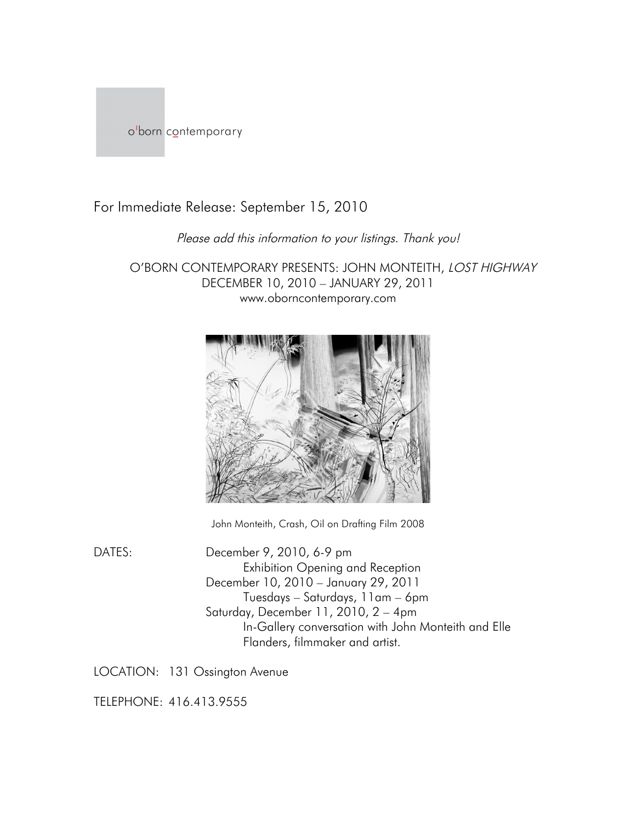

For Immediate Release: September 15, 2010

## Please add this information to your listings. Thank you!

O'BORN CONTEMPORARY PRESENTS: JOHN MONTEITH, LOST HIGHWAY DECEMBER 10, 2010 – JANUARY 29, 2011 www.oborncontemporary.com



John Monteith, Crash, Oil on Drafting Film 2008

DATES: December 9, 2010, 6-9 pm Exhibition Opening and Reception December 10, 2010 – January 29, 2011 Tuesdays – Saturdays, 11am – 6pm Saturday, December 11, 2010, 2 – 4pm In-Gallery conversation with John Monteith and Elle Flanders, filmmaker and artist.

LOCATION: 131 Ossington Avenue

TELEPHONE: 416.413.9555